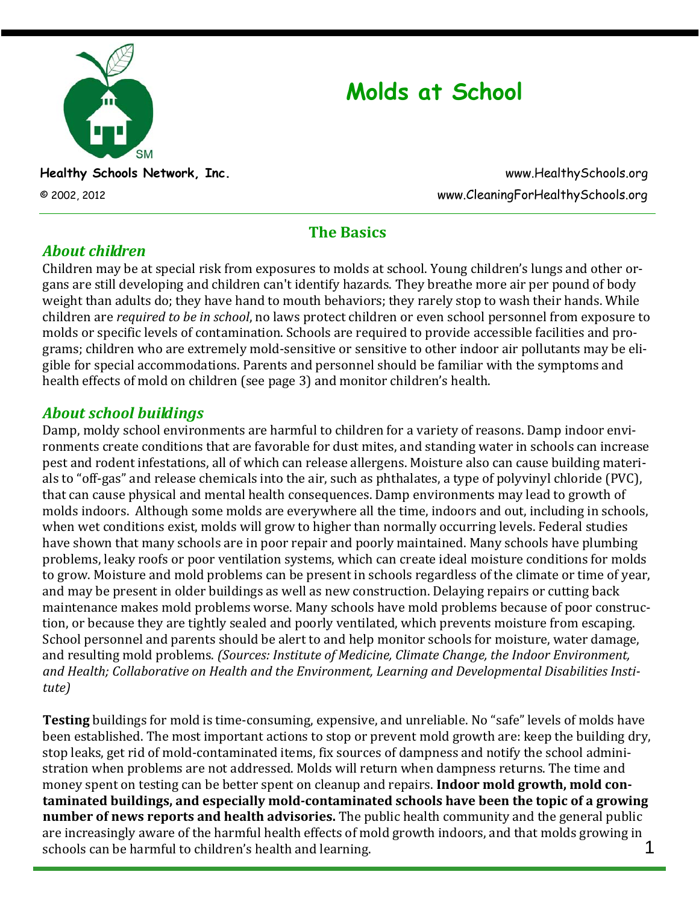

# **Molds at School**

**Healthy Schools Network, Inc.** www.HealthySchools.org © 2002, 2012 www.CleaningForHealthySchools.org

# **The Basics**

# *About children*

Children may be at special risk from exposures to molds at school. Young children's lungs and other or‐ gans are still developing and children can't identify hazards. They breathe more air per pound of body weight than adults do; they have hand to mouth behaviors; they rarely stop to wash their hands. While children are *required to be in school*, no laws protect children or even school personnel from exposure to molds or specific levels of contamination. Schools are required to provide accessible facilities and pro‐ grams; children who are extremely mold‐sensitive or sensitive to other indoor air pollutants may be eli‐ gible for special accommodations. Parents and personnel should be familiar with the symptoms and health effects of mold on children (see page 3) and monitor children's health.

# *About school buildings*

Damp, moldy school environments are harmful to children for a variety of reasons. Damp indoor environments create conditions that are favorable for dust mites, and standing water in schools can increase pest and rodent infestations, all of which can release allergens. Moisture also can cause building materi‐ als to "off‐gas" and release chemicals into the air, such as phthalates, a type of polyvinyl chloride (PVC), that can cause physical and mental health consequences. Damp environments may lead to growth of molds indoors. Although some molds are everywhere all the time, indoors and out, including in schools, when wet conditions exist, molds will grow to higher than normally occurring levels. Federal studies have shown that many schools are in poor repair and poorly maintained. Many schools have plumbing problems, leaky roofs or poor ventilation systems, which can create ideal moisture conditions for molds to grow. Moisture and mold problems can be present in schools regardless of the climate or time of year, and may be present in older buildings as well as new construction. Delaying repairs or cutting back maintenance makes mold problems worse. Many schools have mold problems because of poor construc‐ tion, or because they are tightly sealed and poorly ventilated, which prevents moisture from escaping. School personnel and parents should be alert to and help monitor schools for moisture, water damage, and resulting mold problems. *(Sources: Institute of Medicine, Climate Change, the Indoor Environment, and Health; Collaborative on Health and the Environment, Learning and Developmental Disabilities Institute)*

1 **Testing** buildings for mold is time-consuming, expensive, and unreliable. No "safe" levels of molds have been established. The most important actions to stop or prevent mold growth are: keep the building dry, stop leaks, get rid of mold‐contaminated items, fix sources of dampness and notify the school admini‐ stration when problems are not addressed. Molds will return when dampness returns. The time and money spent on testing can be better spent on cleanup and repairs. **Indoor mold growth, mold contaminated buildings, and especially moldcontaminated schools have been the topic of a growing number of news reports and health advisories.** The public health community and the general public are increasingly aware of the harmful health effects of mold growth indoors, and that molds growing in schools can be harmful to children's health and learning.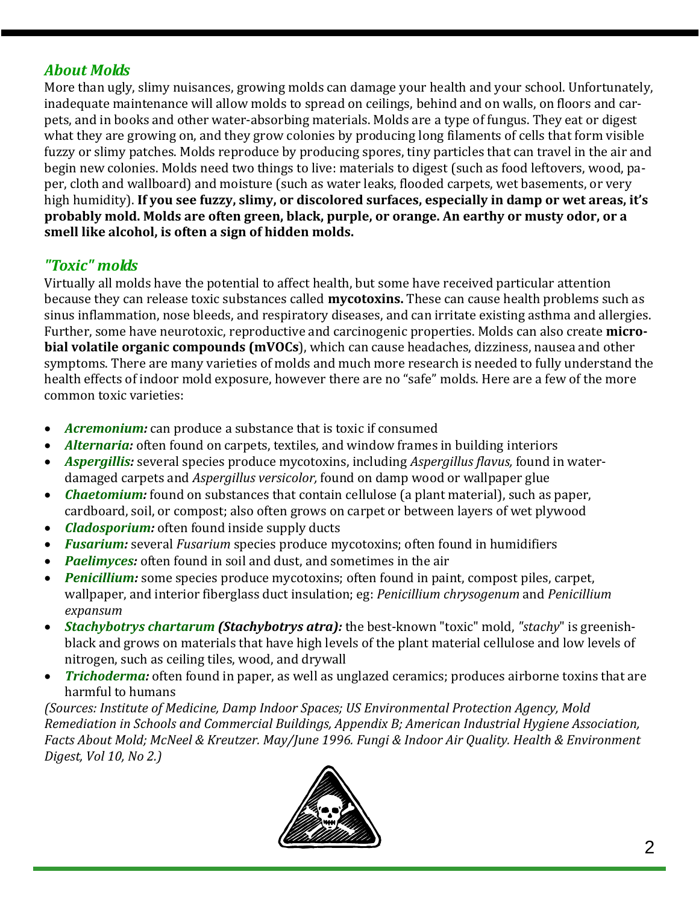# *About Molds*

More than ugly, slimy nuisances, growing molds can damage your health and your school. Unfortunately, inadequate maintenance will allow molds to spread on ceilings, behind and on walls, on floors and carpets, and in books and other water‐absorbing materials. Molds are a type of fungus. They eat or digest what they are growing on, and they grow colonies by producing long filaments of cells that form visible fuzzy or slimy patches. Molds reproduce by producing spores, tiny particles that can travel in the air and begin new colonies. Molds need two things to live: materials to digest (such as food leftovers, wood, paper, cloth and wallboard) and moisture (such as water leaks, flooded carpets, wet basements, or very high humidity). **If you see fuzzy, slimy, or discolored surfaces, especially in damp or wet areas, it's probably mold. Molds are often green, black, purple, or orange. An earthy or musty odor, or a smell like alcohol, is often a sign of hidden molds.**

#### *"Toxic" molds*

Virtually all molds have the potential to affect health, but some have received particular attention because they can release toxic substances called **mycotoxins.** These can cause health problems such as sinus inflammation, nose bleeds, and respiratory diseases, and can irritate existing asthma and allergies. Further, some have neurotoxic, reproductive and carcinogenic properties. Molds can also create **microbial volatile organic compounds (mVOCs**), which can cause headaches, dizziness, nausea and other symptoms. There are many varieties of molds and much more research is needed to fully understand the health effects of indoor mold exposure, however there are no "safe" molds. Here are a few of the more common toxic varieties:

- *Acremonium:* can produce a substance that is toxic if consumed
- *Alternaria:* often found on carpets, textiles, and window frames in building interiors
- *Aspergillis:* several species produce mycotoxins, including *Aspergillus flavus,* found in water‐ damaged carpets and *Aspergillus versicolor,* found on damp wood or wallpaper glue
- *Chaetomium:* found on substances that contain cellulose (a plant material), such as paper, cardboard, soil, or compost; also often grows on carpet or between layers of wet plywood
- *Cladosporium:* often found inside supply ducts
- *Fusarium:* several *Fusarium* species produce mycotoxins; often found in humidifiers
- *Paelimyces:* often found in soil and dust, and sometimes in the air
- *Penicillium:* some species produce mycotoxins; often found in paint, compost piles, carpet, wallpaper, and interior fiberglass duct insulation; eg: *Penicillium chrysogenum* and *Penicillium expansum*
- *Stachybotrys chartarum (Stachybotrys atra):* the best‐known "toxic" mold, *"stachy*" is greenish‐ black and grows on materials that have high levels of the plant material cellulose and low levels of nitrogen, such as ceiling tiles, wood, and drywall
- *Trichoderma:* often found in paper, as well as unglazed ceramics; produces airborne toxins that are harmful to humans

*(Sources: Institute of Medicine, Damp Indoor Spaces; US Environmental Protection Agency, Mold Remediation in Schools and Commercial Buildings, Appendix B; American Industrial Hygiene Association, Facts About Mold; McNeel & Kreutzer. May/June 1996. Fungi & Indoor Air Quality. Health & Environment Digest, Vol 10, No 2.)*

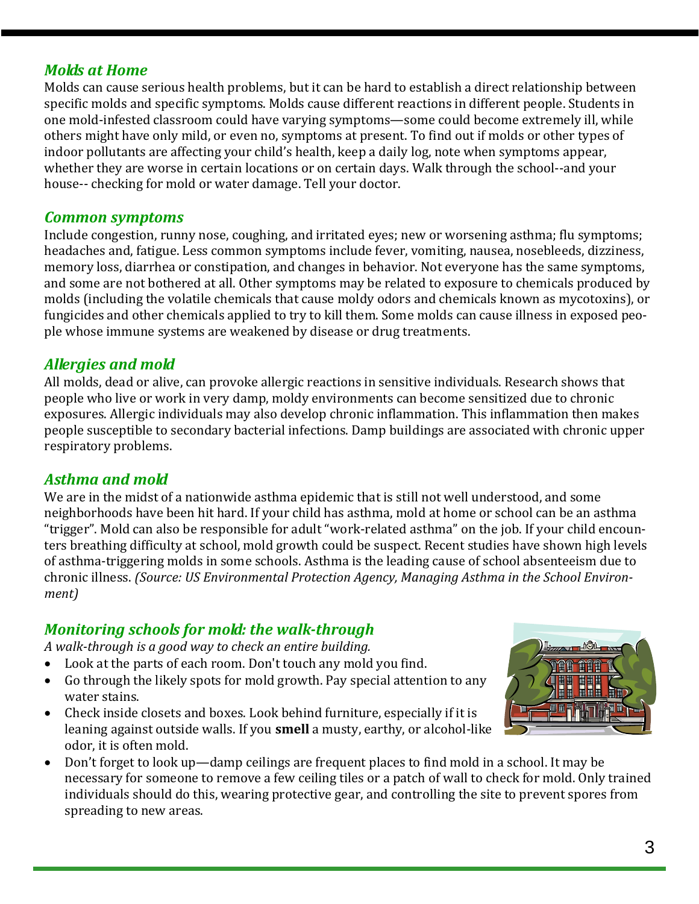#### *Molds at Home*

Molds can cause serious health problems, but it can be hard to establish a direct relationship between specific molds and specific symptoms. Molds cause different reactions in different people. Students in one mold‐infested classroom could have varying symptoms—some could become extremely ill, while others might have only mild, or even no, symptoms at present. To find out if molds or other types of indoor pollutants are affecting your child's health, keep a daily log, note when symptoms appear, whether they are worse in certain locations or on certain days. Walk through the school--and your house-- checking for mold or water damage. Tell your doctor.

#### *Common symptoms*

Include congestion, runny nose, coughing, and irritated eyes; new or worsening asthma; flu symptoms; headaches and, fatigue. Less common symptoms include fever, vomiting, nausea, nosebleeds, dizziness, memory loss, diarrhea or constipation, and changes in behavior. Not everyone has the same symptoms, and some are not bothered at all. Other symptoms may be related to exposure to chemicals produced by molds (including the volatile chemicals that cause moldy odors and chemicals known as mycotoxins), or fungicides and other chemicals applied to try to kill them. Some molds can cause illness in exposed peo‐ ple whose immune systems are weakened by disease or drug treatments.

#### *Allergies and mold*

All molds, dead or alive, can provoke allergic reactions in sensitive individuals. Research shows that people who live or work in very damp, moldy environments can become sensitized due to chronic exposures. Allergic individuals may also develop chronic inflammation. This inflammation then makes people susceptible to secondary bacterial infections. Damp buildings are associated with chronic upper respiratory problems.

#### *Asthma and mold*

We are in the midst of a nationwide asthma epidemic that is still not well understood, and some neighborhoods have been hit hard. If your child has asthma, mold at home or school can be an asthma "trigger". Mold can also be responsible for adult "work‐related asthma" on the job. If your child encoun‐ ters breathing difficulty at school, mold growth could be suspect. Recent studies have shown high levels of asthma‐triggering molds in some schools. Asthma is the leading cause of school absenteeism due to chronic illness. *(Source: US Environmental Protection Agency, Managing Asthma in the School Environment)*

#### *Monitoring schools for mold: the walkthrough*

*A walkthrough is a good way to check an entire building.* 

- Look at the parts of each room. Don't touch any mold you find.
- Go through the likely spots for mold growth. Pay special attention to any water stains.
- Check inside closets and boxes. Look behind furniture, especially if it is leaning against outside walls. If you **smell** a musty, earthy, or alcohol‐like odor, it is often mold.



• Don't forget to look up—damp ceilings are frequent places to find mold in a school. It may be necessary for someone to remove a few ceiling tiles or a patch of wall to check for mold. Only trained individuals should do this, wearing protective gear, and controlling the site to prevent spores from spreading to new areas.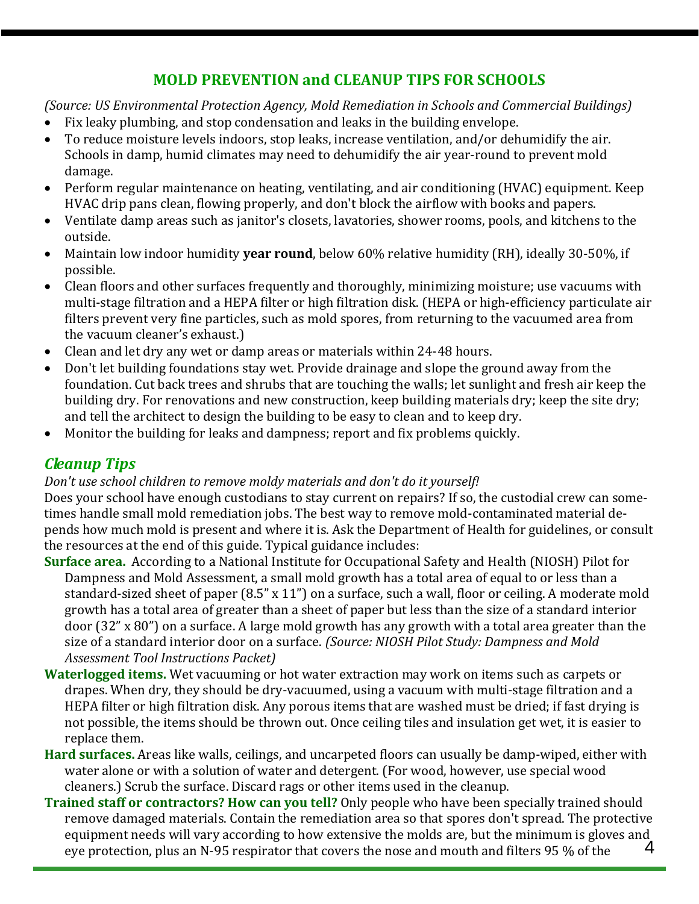# **MOLD PREVENTION and CLEANUP TIPS FOR SCHOOLS**

#### *(Source: US Environmental Protection Agency, Mold Remediation in Schools and Commercial Buildings)*

- Fix leaky plumbing, and stop condensation and leaks in the building envelope.
- To reduce moisture levels indoors, stop leaks, increase ventilation, and/or dehumidify the air. Schools in damp, humid climates may need to dehumidify the air year-round to prevent mold damage.
- Perform regular maintenance on heating, ventilating, and air conditioning (HVAC) equipment. Keep HVAC drip pans clean, flowing properly, and don't block the airflow with books and papers.
- Ventilate damp areas such as janitor's closets, lavatories, shower rooms, pools, and kitchens to the outside.
- Maintain low indoor humidity **year round**, below 60% relative humidity (RH), ideally 30‐50%, if possible.
- Clean floors and other surfaces frequently and thoroughly, minimizing moisture; use vacuums with multi‐stage filtration and a HEPA filter or high filtration disk. (HEPA or high‐efficiency particulate air filters prevent very fine particles, such as mold spores, from returning to the vacuumed area from the vacuum cleaner's exhaust.)
- Clean and let dry any wet or damp areas or materials within 24‐48 hours.
- Don't let building foundations stay wet. Provide drainage and slope the ground away from the foundation. Cut back trees and shrubs that are touching the walls; let sunlight and fresh air keep the building dry. For renovations and new construction, keep building materials dry; keep the site dry; and tell the architect to design the building to be easy to clean and to keep dry.
- Monitor the building for leaks and dampness; report and fix problems quickly.

# *Cleanup Tips*

#### *Don't use school children to remove moldy materials and don't do it yourself!*

Does your school have enough custodians to stay current on repairs? If so, the custodial crew can some‐ times handle small mold remediation jobs. The best way to remove mold‐contaminated material de‐ pends how much mold is present and where it is. Ask the Department of Health for guidelines, or consult the resources at the end of this guide. Typical guidance includes:

- **Surface area.** According to a National Institute for Occupational Safety and Health (NIOSH) Pilot for Dampness and Mold Assessment, a small mold growth has a total area of equal to or less than a standard‐sized sheet of paper (8.5" x 11") on a surface, such a wall, floor or ceiling. A moderate mold growth has a total area of greater than a sheet of paper but less than the size of a standard interior door (32" x 80") on a surface. A large mold growth has any growth with a total area greater than the size of a standard interior door on a surface. *(Source: NIOSH Pilot Study: Dampness and Mold Assessment Tool Instructions Packet)*
- **Waterlogged items.** Wet vacuuming or hot water extraction may work on items such as carpets or drapes. When dry, they should be dry‐vacuumed, using a vacuum with multi‐stage filtration and a HEPA filter or high filtration disk. Any porous items that are washed must be dried; if fast drying is not possible, the items should be thrown out. Once ceiling tiles and insulation get wet, it is easier to replace them.
- **Hard surfaces.** Areas like walls, ceilings, and uncarpeted floors can usually be damp‐wiped, either with water alone or with a solution of water and detergent. (For wood, however, use special wood cleaners.) Scrub the surface. Discard rags or other items used in the cleanup.
- 4 **Trained staff or contractors? How can you tell?** Only people who have been specially trained should remove damaged materials. Contain the remediation area so that spores don't spread. The protective equipment needs will vary according to how extensive the molds are, but the minimum is gloves and eye protection, plus an N‐95 respirator that covers the nose and mouth and filters 95 % of the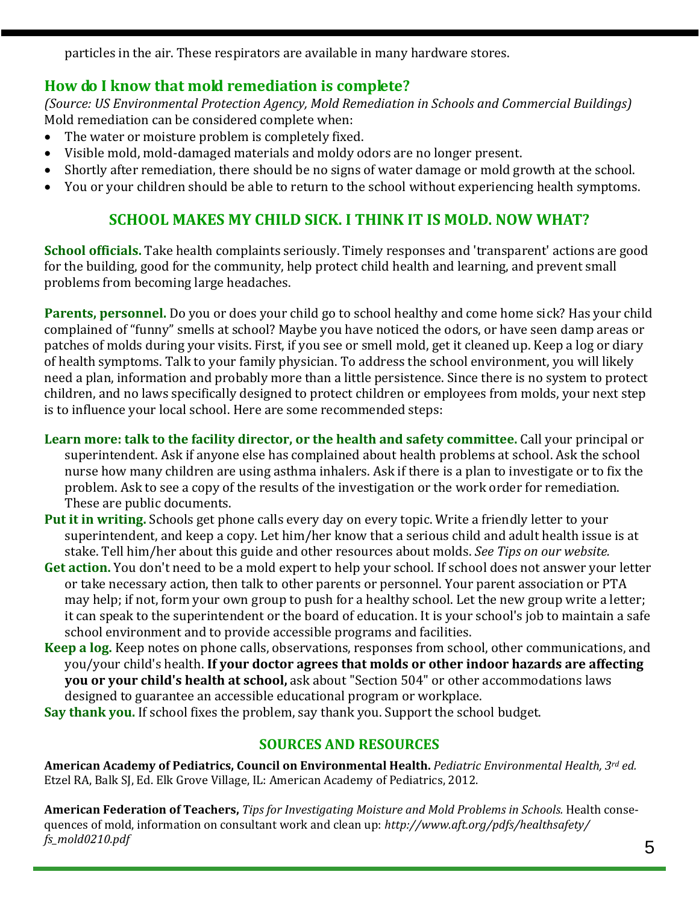particles in the air. These respirators are available in many hardware stores.

# **How do I know that mold remediation is complete?**

*(Source: US Environmental Protection Agency, Mold Remediation in Schools and Commercial Buildings)* Mold remediation can be considered complete when:

- The water or moisture problem is completely fixed.
- Visible mold, mold‐damaged materials and moldy odors are no longer present.
- Shortly after remediation, there should be no signs of water damage or mold growth at the school.
- You or your children should be able to return to the school without experiencing health symptoms.

# **SCHOOL MAKES MY CHILD SICK. I THINK IT IS MOLD. NOW WHAT?**

**School officials.** Take health complaints seriously. Timely responses and 'transparent' actions are good for the building, good for the community, help protect child health and learning, and prevent small problems from becoming large headaches.

**Parents, personnel.** Do you or does your child go to school healthy and come home sick? Has your child complained of "funny" smells at school? Maybe you have noticed the odors, or have seen damp areas or patches of molds during your visits. First, if you see or smell mold, get it cleaned up. Keep a log or diary of health symptoms. Talk to your family physician. To address the school environment, you will likely need a plan, information and probably more than a little persistence. Since there is no system to protect children, and no laws specifically designed to protect children or employees from molds, your next step is to influence your local school. Here are some recommended steps:

- **Learn more: talk to the facility director, or the health and safety committee.** Call your principal or superintendent. Ask if anyone else has complained about health problems at school. Ask the school nurse how many children are using asthma inhalers. Ask if there is a plan to investigate or to fix the problem. Ask to see a copy of the results of the investigation or the work order for remediation. These are public documents.
- **Put it in writing.** Schools get phone calls every day on every topic. Write a friendly letter to your superintendent, and keep a copy. Let him/her know that a serious child and adult health issue is at stake. Tell him/her about this guide and other resources about molds. *See Tips on our website.*
- **Get action.** You don't need to be a mold expert to help your school. If school does not answer your letter or take necessary action, then talk to other parents or personnel. Your parent association or PTA may help; if not, form your own group to push for a healthy school. Let the new group write a letter; it can speak to the superintendent or the board of education. It is your school's job to maintain a safe school environment and to provide accessible programs and facilities.
- **Keep a log.** Keep notes on phone calls, observations, responses from school, other communications, and you/your child's health. **If your doctor agrees that molds or other indoor hazards are affecting you or your child's health at school,** ask about "Section 504" or other accommodations laws designed to guarantee an accessible educational program or workplace.
- **Say thank you.** If school fixes the problem, say thank you. Support the school budget.

#### **SOURCES AND RESOURCES**

**American Academy of Pediatrics, Council on Environmental Health.** *Pediatric Environmental Health, 3rd ed.* Etzel RA, Balk SJ, Ed. Elk Grove Village, IL: American Academy of Pediatrics, 2012.

**American Federation of Teachers,** *Tips for Investigating Moisture and Mold Problems in Schools.* Health conse‐ quences of mold, information on consultant work and clean up: *http://www.aft.org/pdfs/healthsafety/ fs\_mold0210.pdf*